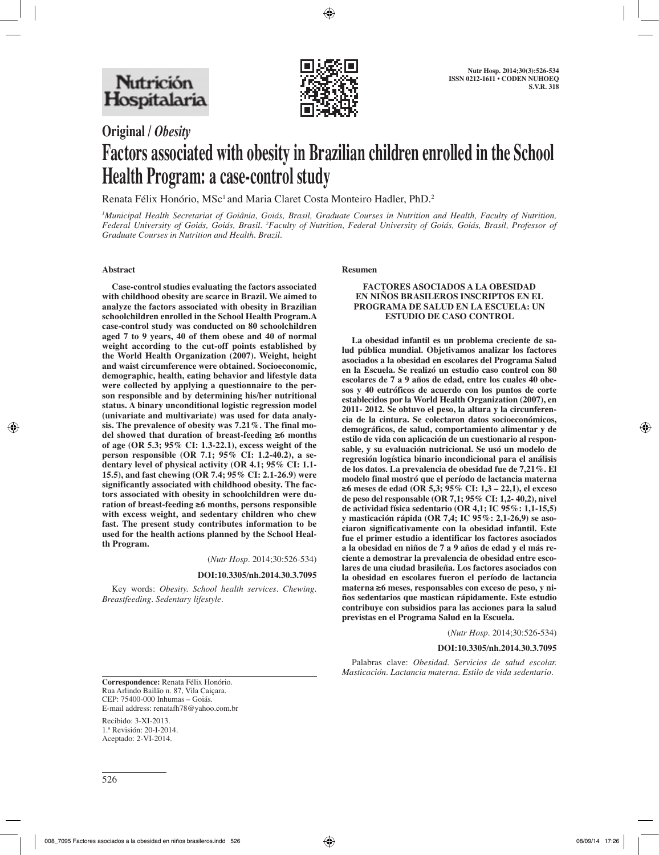

**Original /** *Obesity*

# **Factors associated with obesity in Brazilian children enrolled in the School Health Program: a case-control study**

Renata Félix Honório, MSc<sup>1</sup> and Maria Claret Costa Monteiro Hadler, PhD.<sup>2</sup>

*1 Municipal Health Secretariat of Goiânia, Goiás, Brasil, Graduate Courses in Nutrition and Health, Faculty of Nutrition,*  Federal University of Goiás, Goiás, Brasil. <sup>2</sup>Faculty of Nutrition, Federal University of Goiás, Goiás, Brasil, Professor of *Graduate Courses in Nutrition and Health. Brazil.*

## **Abstract**

**Case-control studies evaluating the factors associated with childhood obesity are scarce in Brazil. We aimed to analyze the factors associated with obesity in Brazilian schoolchildren enrolled in the School Health Program.A case-control study was conducted on 80 schoolchildren aged 7 to 9 years, 40 of them obese and 40 of normal weight according to the cut-off points established by the World Health Organization (2007). Weight, height and waist circumference were obtained. Socioeconomic, demographic, health, eating behavior and lifestyle data were collected by applying a questionnaire to the person responsible and by determining his/her nutritional status. A binary unconditional logistic regression model (univariate and multivariate) was used for data analysis. The prevalence of obesity was 7.21%. The final model showed that duration of breast-feeding ≥6 months of age (OR 5.3; 95% CI: 1.3-22.1), excess weight of the person responsible (OR 7.1; 95% CI: 1.2-40.2), a sedentary level of physical activity (OR 4.1; 95% CI: 1.1- 15.5), and fast chewing (OR 7.4; 95% CI: 2.1-26.9) were significantly associated with childhood obesity. The factors associated with obesity in schoolchildren were duration of breast-feeding ≥6 months, persons responsible with excess weight, and sedentary children who chew fast. The present study contributes information to be used for the health actions planned by the School Health Program.**

(*Nutr Hosp.* 2014;30:526-534)

#### **DOI:10.3305/nh.2014.30.3.7095**

Key words: *Obesity. School health services. Chewing. Breastfeeding. Sedentary lifestyle.*

#### **Resumen**

#### **FACTORES ASOCIADOS A LA OBESIDAD EN NIÑOS BRASILEROS INSCRIPTOS EN EL PROGRAMA DE SALUD EN LA ESCUELA: UN ESTUDIO DE CASO CONTROL**

**La obesidad infantil es un problema creciente de salud pública mundial. Objetivamos analizar los factores asociados a la obesidad en escolares del Programa Salud en la Escuela. Se realizó un estudio caso control con 80 escolares de 7 a 9 años de edad, entre los cuales 40 obesos y 40 eutróficos de acuerdo con los puntos de corte establecidos por la World Health Organization (2007), en 2011- 2012. Se obtuvo el peso, la altura y la circunferencia de la cintura. Se colectaron datos socioeconómicos, demográficos, de salud, comportamiento alimentar y de estilo de vida con aplicación de un cuestionario al responsable, y su evaluación nutricional. Se usó un modelo de regresión logística binario incondicional para el análisis de los datos. La prevalencia de obesidad fue de 7,21%. El modelo final mostró que el período de lactancia materna ≥6 meses de edad (OR 5,3; 95% CI: 1,3 – 22,1), el exceso de peso del responsable (OR 7,1; 95% CI: 1,2- 40,2), nivel de actividad física sedentario (OR 4,1; IC 95%: 1,1-15,5) y masticación rápida (OR 7,4; IC 95%: 2,1-26,9) se asociaron significativamente con la obesidad infantil. Este fue el primer estudio a identificar los factores asociados a la obesidad en niños de 7 a 9 años de edad y el más reciente a demostrar la prevalencia de obesidad entre escolares de una ciudad brasileña. Los factores asociados con la obesidad en escolares fueron el período de lactancia materna ≥6 meses, responsables con exceso de peso, y niños sedentarios que mastican rápidamente. Este estudio contribuye con subsidios para las acciones para la salud previstas en el Programa Salud en la Escuela.** 

(*Nutr Hosp.* 2014;30:526-534)

#### **DOI:10.3305/nh.2014.30.3.7095**

Palabras clave: *Obesidad. Servicios de salud escolar. Masticación. Lactancia materna. Estilo de vida sedentario.*

**Correspondence:** Renata Félix Honório. Rua Arlindo Bailão n. 87, Vila Caiçara. CEP: 75400-000 Inhumas – Goiás. E-mail address: renatafh78@yahoo.com.br

Recibido: 3-XI-2013. 1.ª Revisión: 20-I-2014. Aceptado: 2-VI-2014.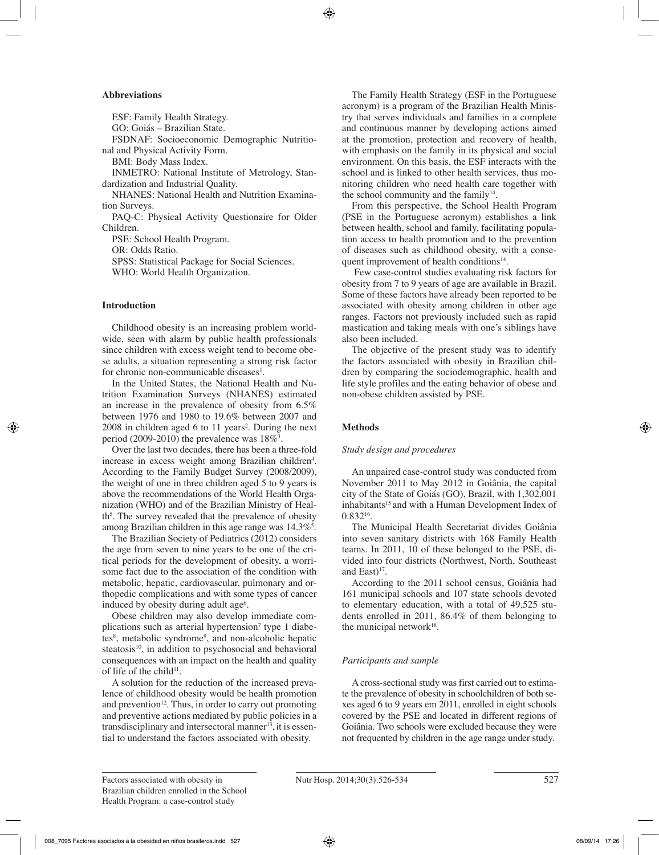## **Abbreviations**

ESF: Family Health Strategy.

GO: Goiás – Brazilian State.

FSDNAF: Socioeconomic Demographic Nutritional and Physical Activity Form.

BMI: Body Mass Index.

INMETRO: National Institute of Metrology, Standardization and Industrial Quality.

NHANES: National Health and Nutrition Examination Surveys.

PAQ-C: Physical Activity Questionaire for Older Children.

PSE: School Health Program.

OR: Odds Ratio.

SPSS: Statistical Package for Social Sciences. WHO: World Health Organization.

## **Introduction**

Childhood obesity is an increasing problem worldwide, seen with alarm by public health professionals since children with excess weight tend to become obese adults, a situation representing a strong risk factor for chronic non-communicable diseases<sup>1</sup>.

In the United States, the National Health and Nutrition Examination Surveys (NHANES) estimated an increase in the prevalence of obesity from 6.5% between 1976 and 1980 to 19.6% between 2007 and 2008 in children aged 6 to 11 years<sup>2</sup>. During the next period  $(2009-2010)$  the prevalence was  $18\%$ <sup>3</sup>.

Over the last two decades, there has been a three-fold increase in excess weight among Brazilian children<sup>4</sup>. According to the Family Budget Survey (2008/2009), the weight of one in three children aged 5 to 9 years is above the recommendations of the World Health Organization (WHO) and of the Brazilian Ministry of Health<sup>5</sup>. The survey revealed that the prevalence of obesity among Brazilian children in this age range was  $14.3\%$ <sup>5</sup>.

The Brazilian Society of Pediatrics (2012) considers the age from seven to nine years to be one of the critical periods for the development of obesity, a worrisome fact due to the association of the condition with metabolic, hepatic, cardiovascular, pulmonary and orthopedic complications and with some types of cancer induced by obesity during adult age<sup>6</sup>.

Obese children may also develop immediate complications such as arterial hypertension<sup>7</sup> type 1 diabetes<sup>8</sup>, metabolic syndrome<sup>9</sup>, and non-alcoholic hepatic steatosis<sup>10</sup>, in addition to psychosocial and behavioral consequences with an impact on the health and quality of life of the child $11$ .

A solution for the reduction of the increased prevalence of childhood obesity would be health promotion and prevention $12$ . Thus, in order to carry out promoting and preventive actions mediated by public policies in a transdisciplinary and intersectoral manner<sup>13</sup>, it is essential to understand the factors associated with obesity.

The Family Health Strategy (ESF in the Portuguese acronym) is a program of the Brazilian Health Ministry that serves individuals and families in a complete and continuous manner by developing actions aimed at the promotion, protection and recovery of health, with emphasis on the family in its physical and social environment. On this basis, the ESF interacts with the school and is linked to other health services, thus monitoring children who need health care together with the school community and the family<sup>14</sup>.

From this perspective, the School Health Program (PSE in the Portuguese acronym) establishes a link between health, school and family, facilitating population access to health promotion and to the prevention of diseases such as childhood obesity, with a consequent improvement of health conditions $14$ .

 Few case-control studies evaluating risk factors for obesity from 7 to 9 years of age are available in Brazil. Some of these factors have already been reported to be associated with obesity among children in other age ranges. Factors not previously included such as rapid mastication and taking meals with one's siblings have also been included.

The objective of the present study was to identify the factors associated with obesity in Brazilian children by comparing the sociodemographic, health and life style profiles and the eating behavior of obese and non-obese children assisted by PSE.

# **Methods**

# *Study design and procedures*

An unpaired case-control study was conducted from November 2011 to May 2012 in Goiânia, the capital city of the State of Goiás (GO), Brazil, with 1,302,001 inhabitants<sup>15</sup> and with a Human Development Index of 0.83216.

The Municipal Health Secretariat divides Goiânia into seven sanitary districts with 168 Family Health teams. In 2011, 10 of these belonged to the PSE, divided into four districts (Northwest, North, Southeast and East $1^{17}$ .

According to the 2011 school census, Goiânia had 161 municipal schools and 107 state schools devoted to elementary education, with a total of 49,525 students enrolled in 2011, 86.4% of them belonging to the municipal network $18$ .

# *Participants and sample*

A cross-sectional study was first carried out to estimate the prevalence of obesity in schoolchildren of both sexes aged 6 to 9 years em 2011, enrolled in eight schools covered by the PSE and located in different regions of Goiânia. Two schools were excluded because they were not frequented by children in the age range under study.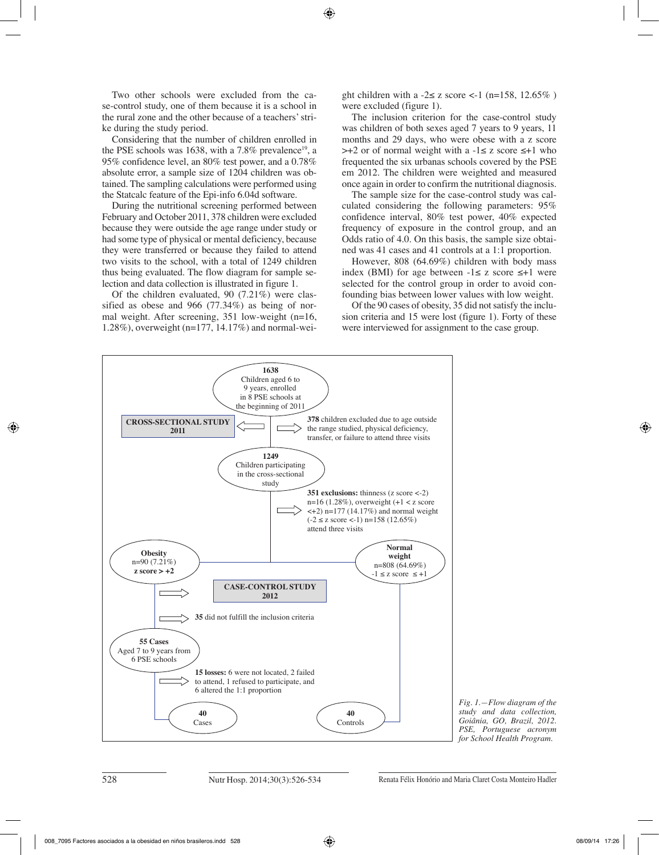Two other schools were excluded from the case-control study, one of them because it is a school in the rural zone and the other because of a teachers' strike during the study period.

Considering that the number of children enrolled in the PSE schools was 1638, with a  $7.8\%$  prevalence<sup>19</sup>, a 95% confidence level, an 80% test power, and a 0.78% absolute error, a sample size of 1204 children was obtained. The sampling calculations were performed using the Statcalc feature of the Epi-info 6.04d software.

During the nutritional screening performed between February and October 2011, 378 children were excluded because they were outside the age range under study or had some type of physical or mental deficiency, because they were transferred or because they failed to attend two visits to the school, with a total of 1249 children thus being evaluated. The flow diagram for sample selection and data collection is illustrated in figure 1.

Of the children evaluated, 90 (7.21%) were classified as obese and 966 (77.34%) as being of normal weight. After screening, 351 low-weight (n=16, 1.28%), overweight (n=177, 14.17%) and normal-weight children with a  $-2 \le z$  score  $\lt$ -1 (n=158, 12.65%) were excluded (figure 1).

The inclusion criterion for the case-control study was children of both sexes aged 7 years to 9 years, 11 months and 29 days, who were obese with a z score >+2 or of normal weight with a -1≤ z score ≤+1 who frequented the six urbanas schools covered by the PSE em 2012. The children were weighted and measured once again in order to confirm the nutritional diagnosis.

The sample size for the case-control study was calculated considering the following parameters: 95% confidence interval, 80% test power, 40% expected frequency of exposure in the control group, and an Odds ratio of 4.0. On this basis, the sample size obtained was 41 cases and 41 controls at a 1:1 proportion.

However, 808 (64.69%) children with body mass index (BMI) for age between  $-1 \le z$  score  $\le +1$  were selected for the control group in order to avoid confounding bias between lower values with low weight.

Of the 90 cases of obesity, 35 did not satisfy the inclusion criteria and 15 were lost (figure 1). Forty of these were interviewed for assignment to the case group.



*Fig. 1.—Flow diagram of the study and data collection, Goiânia, GO, Brazil, 2012. PSE, Portuguese acronym for School Health Program.*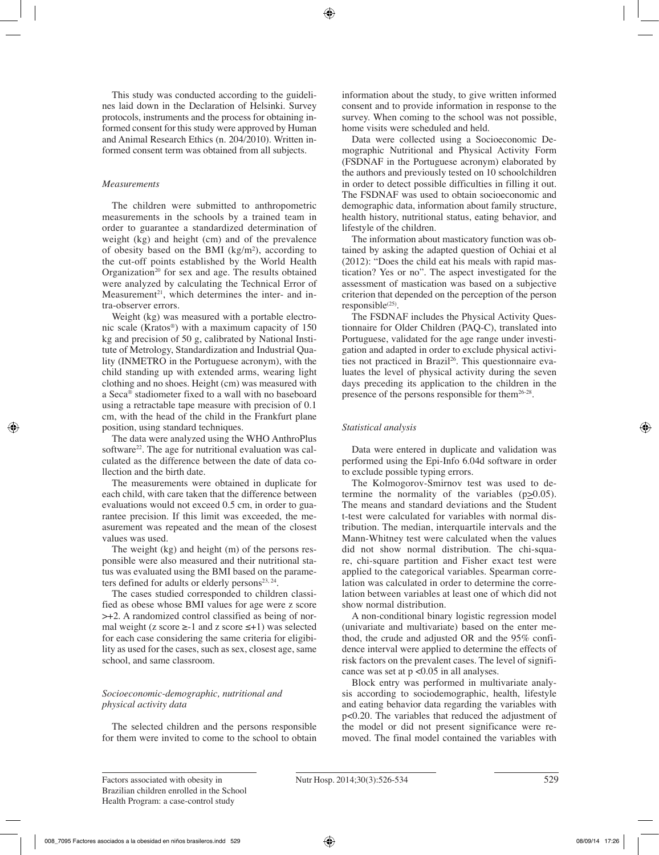This study was conducted according to the guidelines laid down in the Declaration of Helsinki. Survey protocols, instruments and the process for obtaining informed consent for this study were approved by Human and Animal Research Ethics (n. 204/2010). Written informed consent term was obtained from all subjects.

# *Measurements*

The children were submitted to anthropometric measurements in the schools by a trained team in order to guarantee a standardized determination of weight (kg) and height (cm) and of the prevalence of obesity based on the BMI (kg/m²), according to the cut-off points established by the World Health Organization<sup>20</sup> for sex and age. The results obtained were analyzed by calculating the Technical Error of Measurement<sup>21</sup>, which determines the inter- and intra-observer errors.

Weight (kg) was measured with a portable electronic scale (Kratos®) with a maximum capacity of 150 kg and precision of 50 g, calibrated by National Institute of Metrology, Standardization and Industrial Quality (INMETRO in the Portuguese acronym), with the child standing up with extended arms, wearing light clothing and no shoes. Height (cm) was measured with a Seca® stadiometer fixed to a wall with no baseboard using a retractable tape measure with precision of 0.1 cm, with the head of the child in the Frankfurt plane position, using standard techniques.

The data were analyzed using the WHO AnthroPlus software<sup>22</sup>. The age for nutritional evaluation was calculated as the difference between the date of data collection and the birth date.

The measurements were obtained in duplicate for each child, with care taken that the difference between evaluations would not exceed 0.5 cm, in order to guarantee precision. If this limit was exceeded, the measurement was repeated and the mean of the closest values was used.

The weight (kg) and height (m) of the persons responsible were also measured and their nutritional status was evaluated using the BMI based on the parameters defined for adults or elderly persons $^{23, 24}$ .

The cases studied corresponded to children classified as obese whose BMI values for age were z score >+2. A randomized control classified as being of normal weight (z score  $\ge$ -1 and z score  $\le$ +1) was selected for each case considering the same criteria for eligibility as used for the cases, such as sex, closest age, same school, and same classroom.

# *Socioeconomic-demographic, nutritional and physical activity data*

The selected children and the persons responsible for them were invited to come to the school to obtain

information about the study, to give written informed consent and to provide information in response to the survey. When coming to the school was not possible, home visits were scheduled and held.

Data were collected using a Socioeconomic Demographic Nutritional and Physical Activity Form (FSDNAF in the Portuguese acronym) elaborated by the authors and previously tested on 10 schoolchildren in order to detect possible difficulties in filling it out. The FSDNAF was used to obtain socioeconomic and demographic data, information about family structure, health history, nutritional status, eating behavior, and lifestyle of the children.

The information about masticatory function was obtained by asking the adapted question of Ochiai et al (2012): "Does the child eat his meals with rapid mastication? Yes or no". The aspect investigated for the assessment of mastication was based on a subjective criterion that depended on the perception of the person  $responsible<sup>(25)</sup>$ .

The FSDNAF includes the Physical Activity Questionnaire for Older Children (PAQ-C), translated into Portuguese, validated for the age range under investigation and adapted in order to exclude physical activities not practiced in Brazil<sup>26</sup>. This questionnaire evaluates the level of physical activity during the seven days preceding its application to the children in the presence of the persons responsible for them26-28.

# *Statistical analysis*

Data were entered in duplicate and validation was performed using the Epi-Info 6.04d software in order to exclude possible typing errors.

The Kolmogorov-Smirnov test was used to determine the normality of the variables  $(p\succeq 0.05)$ . The means and standard deviations and the Student t-test were calculated for variables with normal distribution. The median, interquartile intervals and the Mann-Whitney test were calculated when the values did not show normal distribution. The chi-square, chi-square partition and Fisher exact test were applied to the categorical variables. Spearman correlation was calculated in order to determine the correlation between variables at least one of which did not show normal distribution.

A non-conditional binary logistic regression model (univariate and multivariate) based on the enter method, the crude and adjusted OR and the 95% confidence interval were applied to determine the effects of risk factors on the prevalent cases. The level of significance was set at p <0.05 in all analyses.

Block entry was performed in multivariate analysis according to sociodemographic, health, lifestyle and eating behavior data regarding the variables with p<0.20. The variables that reduced the adjustment of the model or did not present significance were removed. The final model contained the variables with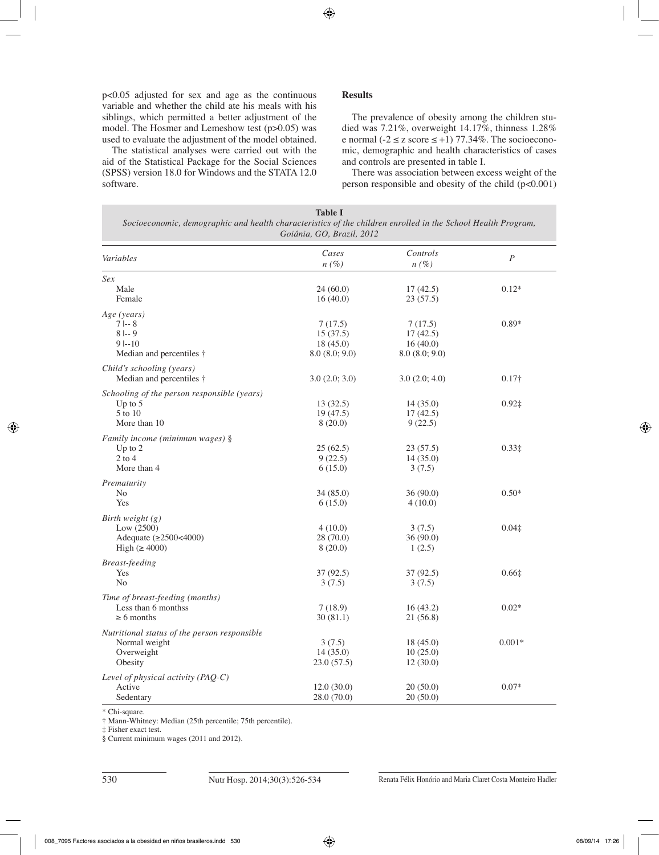p<0.05 adjusted for sex and age as the continuous variable and whether the child ate his meals with his siblings, which permitted a better adjustment of the model. The Hosmer and Lemeshow test (p>0.05) was used to evaluate the adjustment of the model obtained.

The statistical analyses were carried out with the aid of the Statistical Package for the Social Sciences (SPSS) version 18.0 for Windows and the STATA 12.0 software.

# **Results**

The prevalence of obesity among the children studied was 7.21%, overweight 14.17%, thinness 1.28% e normal ( $-2 \le z$  score  $\le +1$ ) 77.34%. The socioeconomic, demographic and health characteristics of cases and controls are presented in table I.

There was association between excess weight of the person responsible and obesity of the child  $(p<0.001)$ 

| <b>Table I</b>                                                                                               |  |  |  |  |  |
|--------------------------------------------------------------------------------------------------------------|--|--|--|--|--|
| Socioeconomic, demographic and health characteristics of the children enrolled in the School Health Program, |  |  |  |  |  |
| Goiânia, GO, Brazil, 2012                                                                                    |  |  |  |  |  |

| Variables                                    | Cases<br>$n(\%)$ | Controls<br>$n(\%)$ | $\boldsymbol{P}$ |  |
|----------------------------------------------|------------------|---------------------|------------------|--|
| Sex                                          |                  |                     |                  |  |
| Male                                         | 24(60.0)         | 17(42.5)            | $0.12*$          |  |
| Female                                       | 16(40.0)         | 23(57.5)            |                  |  |
| Age (years)                                  |                  |                     |                  |  |
| $7 - 8$                                      | 7(17.5)          | 7(17.5)             | $0.89*$          |  |
| $8 - 9$                                      | 15(37.5)         | 17(42.5)            |                  |  |
| $9 - 10$                                     | 18(45.0)         | 16(40.0)            |                  |  |
| Median and percentiles $\dagger$             | 8.0(8.0; 9.0)    | 8.0(8.0; 9.0)       |                  |  |
| Child's schooling (years)                    |                  |                     |                  |  |
| Median and percentiles $\dagger$             | 3.0(2.0; 3.0)    | 3.0(2.0; 4.0)       | $0.17\dagger$    |  |
| Schooling of the person responsible (years)  |                  |                     |                  |  |
| Up to 5                                      | 13(32.5)         | 14(35.0)            | $0.92\ddagger$   |  |
| 5 to 10                                      | 19(47.5)         | 17(42.5)            |                  |  |
| More than 10                                 | 8(20.0)          | 9(22.5)             |                  |  |
| Family income (minimum wages) §              |                  |                     |                  |  |
| Up to $2$                                    | 25(62.5)         | 23(57.5)            | $0.33\ddagger$   |  |
| $2$ to $4$                                   | 9(22.5)          | 14(35.0)            |                  |  |
| More than 4                                  | 6(15.0)          | 3(7.5)              |                  |  |
| Prematurity                                  |                  |                     |                  |  |
| No                                           | 34(85.0)         | 36(90.0)            | $0.50*$          |  |
| Yes                                          | 6(15.0)          | 4(10.0)             |                  |  |
| Birth weight $(g)$                           |                  |                     |                  |  |
| Low $(2500)$                                 | 4(10.0)          | 3(7.5)              | $0.04\ddagger$   |  |
| Adequate (≥2500<4000)                        | 28(70.0)         | 36(90.0)            |                  |  |
| High $(\geq 4000)$                           | 8(20.0)          | 1(2.5)              |                  |  |
| <b>Breast-feeding</b>                        |                  |                     |                  |  |
| Yes                                          | 37(92.5)         | 37(92.5)            | 0.66±            |  |
| No                                           | 3(7.5)           | 3(7.5)              |                  |  |
| Time of breast-feeding (months)              |                  |                     |                  |  |
| Less than 6 monthss                          | 7(18.9)          | 16(43.2)            | $0.02*$          |  |
| $\geq 6$ months                              | 30(81.1)         | 21(56.8)            |                  |  |
| Nutritional status of the person responsible |                  |                     |                  |  |
| Normal weight                                | 3(7.5)           | 18(45.0)            | $0.001*$         |  |
| Overweight                                   | 14(35.0)         | 10(25.0)            |                  |  |
| Obesity                                      | 23.0(57.5)       | 12(30.0)            |                  |  |
| Level of physical activity $(PAQ-C)$         |                  |                     |                  |  |
| Active                                       | 12.0(30.0)       | 20(50.0)            | $0.07*$          |  |
| Sedentary                                    | 28.0(70.0)       | 20(50.0)            |                  |  |

\* Chi-square.

† Mann-Whitney: Median (25th percentile; 75th percentile).

‡ Fisher exact test.

§ Current minimum wages (2011 and 2012).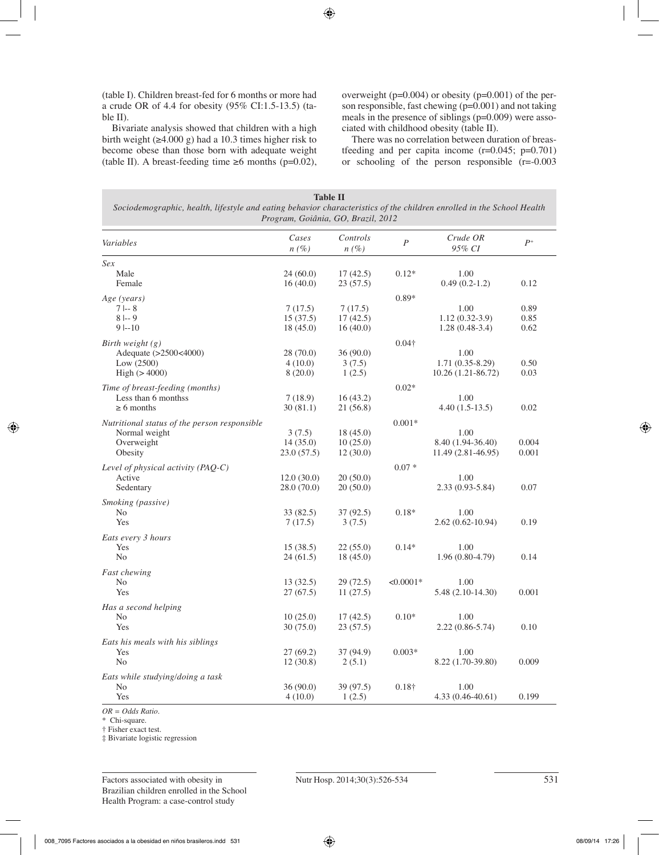(table I). Children breast-fed for 6 months or more had a crude OR of 4.4 for obesity (95% CI:1.5-13.5) (table II).

Bivariate analysis showed that children with a high birth weight  $(\geq 4.000 \text{ g})$  had a 10.3 times higher risk to become obese than those born with adequate weight (table II). A breast-feeding time ≥6 months (p=0.02), overweight (p=0.004) or obesity (p=0.001) of the person responsible, fast chewing (p=0.001) and not taking meals in the presence of siblings (p=0.009) were associated with childhood obesity (table II).

There was no correlation between duration of breastfeeding and per capita income  $(r=0.045; p=0.701)$ or schooling of the person responsible (r=-0.003

| <b>Table II</b><br>Sociodemographic, health, lifestyle and eating behavior characteristics of the children enrolled in the School Health<br>Program, Goiânia, GO, Brazil, 2012 |                                  |                                  |               |                                                  |                      |  |  |
|--------------------------------------------------------------------------------------------------------------------------------------------------------------------------------|----------------------------------|----------------------------------|---------------|--------------------------------------------------|----------------------|--|--|
| Variables                                                                                                                                                                      | Cases<br>$n(\%)$                 | Controls<br>$n(\%)$              | $\cal P$      | Crude OR<br>95% CI                               | $P^+$                |  |  |
| Sex<br>Male<br>Female                                                                                                                                                          | 24(60.0)<br>16(40.0)             | 17(42.5)<br>23(57.5)             | $0.12*$       | 1.00<br>$0.49(0.2-1.2)$                          | 0.12                 |  |  |
| Age (years)<br>$7 - 8$<br>$8 - 9$<br>$9 - 10$                                                                                                                                  | 7(17.5)<br>15(37.5)<br>18(45.0)  | 7(17.5)<br>17(42.5)<br>16(40.0)  | $0.89*$       | 1.00<br>$1.12(0.32-3.9)$<br>$1.28(0.48-3.4)$     | 0.89<br>0.85<br>0.62 |  |  |
| Birth weight $(g)$<br>Adequate (>2500<4000)<br>Low (2500)<br>High (> 4000)                                                                                                     | 28 (70.0)<br>4(10.0)<br>8(20.0)  | 36(90.0)<br>3(7.5)<br>1(2.5)     | $0.04\dagger$ | 1.00<br>$1.71(0.35-8.29)$<br>$10.26(1.21-86.72)$ | 0.50<br>0.03         |  |  |
| Time of breast-feeding (months)<br>Less than 6 monthss<br>$\geq 6$ months                                                                                                      | 7(18.9)<br>30(81.1)              | 16(43.2)<br>21 (56.8)            | $0.02*$       | 1.00<br>$4.40(1.5-13.5)$                         | 0.02                 |  |  |
| Nutritional status of the person responsible<br>Normal weight<br>Overweight<br>Obesity                                                                                         | 3(7.5)<br>14(35.0)<br>23.0(57.5) | 18(45.0)<br>10(25.0)<br>12(30.0) | $0.001*$      | 1.00<br>8.40 (1.94-36.40)<br>$11.49(2.81-46.95)$ | 0.004<br>0.001       |  |  |
| Level of physical activity (PAQ-C)<br>Active<br>Sedentary                                                                                                                      | 12.0(30.0)<br>28.0 (70.0)        | 20(50.0)<br>20(50.0)             | $0.07*$       | 1.00<br>2.33 (0.93-5.84)                         | 0.07                 |  |  |
| Smoking (passive)<br>N <sub>0</sub><br>Yes                                                                                                                                     | 33(82.5)<br>7(17.5)              | 37(92.5)<br>3(7.5)               | $0.18*$       | 1.00<br>$2.62(0.62 - 10.94)$                     | 0.19                 |  |  |
| Eats every 3 hours<br>Yes<br>N <sub>o</sub>                                                                                                                                    | 15(38.5)<br>24(61.5)             | 22(55.0)<br>18(45.0)             | $0.14*$       | 1.00<br>$1.96(0.80-4.79)$                        | 0.14                 |  |  |
| <b>Fast chewing</b><br>N <sub>o</sub><br>Yes                                                                                                                                   | 13(32.5)<br>27(67.5)             | 29(72.5)<br>11(27.5)             | $< 0.0001*$   | 1.00<br>$5.48(2.10-14.30)$                       | 0.001                |  |  |
| Has a second helping<br>N <sub>0</sub><br>Yes                                                                                                                                  | 10(25.0)<br>30 (75.0)            | 17(42.5)<br>23(57.5)             | $0.10*$       | 1.00<br>2.22 (0.86-5.74)                         | 0.10                 |  |  |
| Eats his meals with his siblings<br>Yes<br>N <sub>0</sub>                                                                                                                      | 27(69.2)<br>12(30.8)             | 37 (94.9)<br>2(5.1)              | $0.003*$      | 1.00<br>8.22 (1.70-39.80)                        | 0.009                |  |  |
| Eats while studying/doing a task<br>N <sub>0</sub><br>Yes                                                                                                                      | 36 (90.0)<br>4(10.0)             | 39 (97.5)<br>1(2.5)              | $0.18\dagger$ | 1.00<br>$4.33(0.46-40.61)$                       | 0.199                |  |  |

*OR = Odds Ratio.* 

\* Chi-square.

† Fisher exact test.

‡ Bivariate logistic regression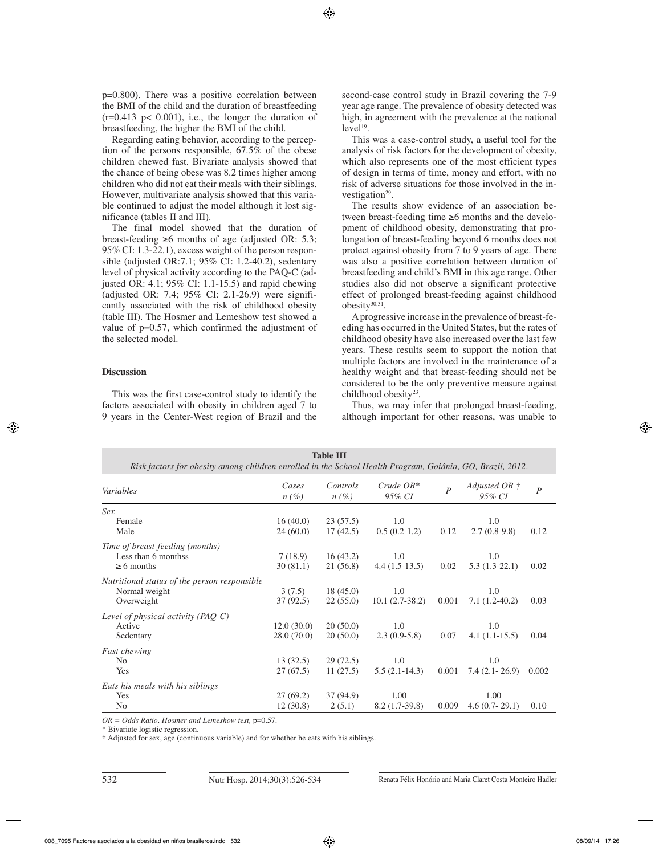p=0.800). There was a positive correlation between the BMI of the child and the duration of breastfeeding  $(r=0.413 \text{ p} < 0.001)$ , i.e., the longer the duration of breastfeeding, the higher the BMI of the child.

Regarding eating behavior, according to the perception of the persons responsible, 67.5% of the obese children chewed fast. Bivariate analysis showed that the chance of being obese was 8.2 times higher among children who did not eat their meals with their siblings. However, multivariate analysis showed that this variable continued to adjust the model although it lost significance (tables II and III).

The final model showed that the duration of breast-feeding ≥6 months of age (adjusted OR: 5.3; 95% CI: 1.3-22.1), excess weight of the person responsible (adjusted OR:7.1; 95% CI: 1.2-40.2), sedentary level of physical activity according to the PAQ-C (adjusted OR: 4.1; 95% CI: 1.1-15.5) and rapid chewing (adjusted OR: 7.4; 95% CI: 2.1-26.9) were significantly associated with the risk of childhood obesity (table III). The Hosmer and Lemeshow test showed a value of p=0.57, which confirmed the adjustment of the selected model.

## **Discussion**

This was the first case-control study to identify the factors associated with obesity in children aged 7 to 9 years in the Center-West region of Brazil and the

second-case control study in Brazil covering the 7-9 year age range. The prevalence of obesity detected was high, in agreement with the prevalence at the national  $level<sup>19</sup>$ .

This was a case-control study, a useful tool for the analysis of risk factors for the development of obesity, which also represents one of the most efficient types of design in terms of time, money and effort, with no risk of adverse situations for those involved in the investigation<sup>29</sup>.

The results show evidence of an association between breast-feeding time ≥6 months and the development of childhood obesity, demonstrating that prolongation of breast-feeding beyond 6 months does not protect against obesity from 7 to 9 years of age. There was also a positive correlation between duration of breastfeeding and child's BMI in this age range. Other studies also did not observe a significant protective effect of prolonged breast-feeding against childhood  $obesity^{30,31}$ .

A progressive increase in the prevalence of breast-feeding has occurred in the United States, but the rates of childhood obesity have also increased over the last few years. These results seem to support the notion that multiple factors are involved in the maintenance of a healthy weight and that breast-feeding should not be considered to be the only preventive measure against childhood obesity<sup>23</sup>.

Thus, we may infer that prolonged breast-feeding, although important for other reasons, was unable to

| <b>Table III</b><br>Risk factors for obesity among children enrolled in the School Health Program, Goiânia, GO, Brazil, 2012. |                  |                     |                          |                  |                                  |                  |  |
|-------------------------------------------------------------------------------------------------------------------------------|------------------|---------------------|--------------------------|------------------|----------------------------------|------------------|--|
| Variables                                                                                                                     | Cases<br>$n(\%)$ | Controls<br>$n(\%)$ | $Crude$ $OR^*$<br>95% CI | $\boldsymbol{P}$ | Adjusted OR $\ddagger$<br>95% CI | $\boldsymbol{P}$ |  |
| Sex                                                                                                                           |                  |                     |                          |                  |                                  |                  |  |
| Female                                                                                                                        | 16(40.0)         | 23(57.5)            | 1.0                      |                  | 1.0                              |                  |  |
| Male                                                                                                                          | 24(60.0)         | 17(42.5)            | $0.5(0.2-1.2)$           | 0.12             | $2.7(0.8-9.8)$                   | 0.12             |  |
| Time of breast-feeding (months)                                                                                               |                  |                     |                          |                  |                                  |                  |  |
| Less than 6 monthss                                                                                                           | 7(18.9)          | 16(43.2)            | 1.0                      |                  | 1.0                              |                  |  |
| $\geq 6$ months                                                                                                               | 30(81.1)         | 21(56.8)            | $4.4(1.5-13.5)$          | 0.02             | $5.3(1.3-22.1)$                  | 0.02             |  |
| Nutritional status of the person responsible                                                                                  |                  |                     |                          |                  |                                  |                  |  |
| Normal weight                                                                                                                 | 3(7.5)           | 18(45.0)            | 1.0                      |                  | 1.0                              |                  |  |
| Overweight                                                                                                                    | 37(92.5)         | 22(55.0)            | $10.1(2.7-38.2)$         | 0.001            | $7.1(1.2-40.2)$                  | 0.03             |  |
| Level of physical activity (PAQ-C)                                                                                            |                  |                     |                          |                  |                                  |                  |  |
| Active                                                                                                                        | 12.0(30.0)       | 20(50.0)            | 1.0                      |                  | 1.0                              |                  |  |
| Sedentary                                                                                                                     | 28.0 (70.0)      | 20(50.0)            | $2.3(0.9-5.8)$           | 0.07             | $4.1(1.1-15.5)$                  | 0.04             |  |
| <b>Fast chewing</b>                                                                                                           |                  |                     |                          |                  |                                  |                  |  |
| N <sub>0</sub>                                                                                                                | 13(32.5)         | 29(72.5)            | 1.0                      |                  | 1.0                              |                  |  |
| Yes                                                                                                                           | 27(67.5)         | 11(27.5)            | $5.5(2.1-14.3)$          | 0.001            | $7.4(2.1-26.9)$                  | 0.002            |  |
| Eats his meals with his siblings                                                                                              |                  |                     |                          |                  |                                  |                  |  |
| Yes                                                                                                                           | 27(69.2)         | 37(94.9)            | 1.00                     |                  | 1.00                             |                  |  |
| N <sub>0</sub>                                                                                                                | 12(30.8)         | 2(5.1)              | $8.2(1.7-39.8)$          | 0.009            | $4.6(0.7-29.1)$                  | 0.10             |  |

*OR = Odds Ratio. Hosmer and Lemeshow test,* p=0.57.

\* Bivariate logistic regression.

† Adjusted for sex, age (continuous variable) and for whether he eats with his siblings.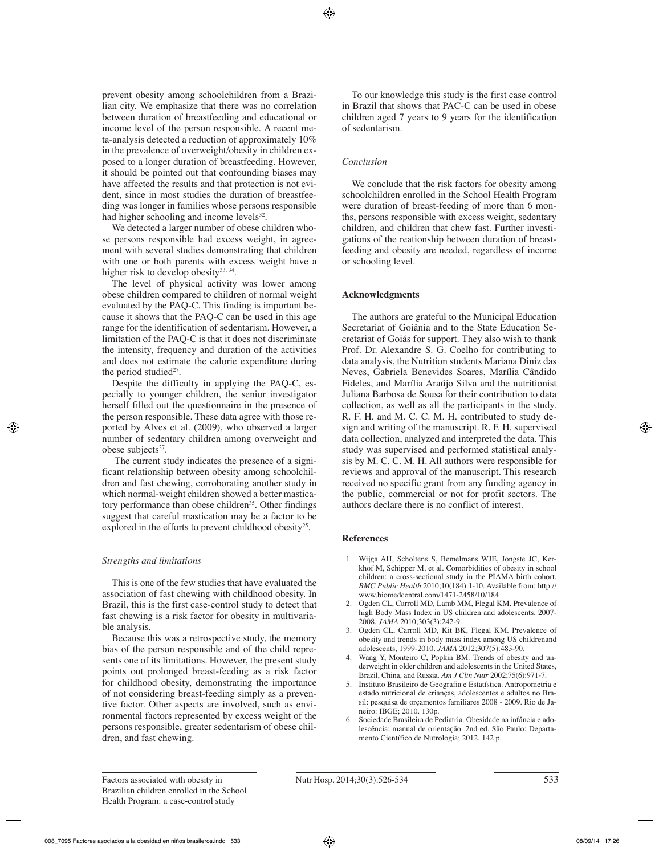prevent obesity among schoolchildren from a Brazilian city. We emphasize that there was no correlation between duration of breastfeeding and educational or income level of the person responsible. A recent meta-analysis detected a reduction of approximately 10% in the prevalence of overweight/obesity in children exposed to a longer duration of breastfeeding. However, it should be pointed out that confounding biases may have affected the results and that protection is not evident, since in most studies the duration of breastfeeding was longer in families whose persons responsible had higher schooling and income levels $32$ .

We detected a larger number of obese children whose persons responsible had excess weight, in agreement with several studies demonstrating that children with one or both parents with excess weight have a higher risk to develop obesity $33, 34$ .

The level of physical activity was lower among obese children compared to children of normal weight evaluated by the PAQ-C. This finding is important because it shows that the PAQ-C can be used in this age range for the identification of sedentarism. However, a limitation of the PAQ-C is that it does not discriminate the intensity, frequency and duration of the activities and does not estimate the calorie expenditure during the period studied $27$ .

Despite the difficulty in applying the PAQ-C, especially to younger children, the senior investigator herself filled out the questionnaire in the presence of the person responsible. These data agree with those reported by Alves et al. (2009), who observed a larger number of sedentary children among overweight and obese subjects<sup>27</sup>.

 The current study indicates the presence of a significant relationship between obesity among schoolchildren and fast chewing, corroborating another study in which normal-weight children showed a better masticatory performance than obese children<sup>35</sup>. Other findings suggest that careful mastication may be a factor to be explored in the efforts to prevent childhood obesity<sup>25</sup>.

## *Strengths and limitations*

This is one of the few studies that have evaluated the association of fast chewing with childhood obesity. In Brazil, this is the first case-control study to detect that fast chewing is a risk factor for obesity in multivariable analysis.

Because this was a retrospective study, the memory bias of the person responsible and of the child represents one of its limitations. However, the present study points out prolonged breast-feeding as a risk factor for childhood obesity, demonstrating the importance of not considering breast-feeding simply as a preventive factor. Other aspects are involved, such as environmental factors represented by excess weight of the persons responsible, greater sedentarism of obese children, and fast chewing.

To our knowledge this study is the first case control in Brazil that shows that PAC-C can be used in obese children aged 7 years to 9 years for the identification of sedentarism.

# *Conclusion*

We conclude that the risk factors for obesity among schoolchildren enrolled in the School Health Program were duration of breast-feeding of more than 6 months, persons responsible with excess weight, sedentary children, and children that chew fast. Further investigations of the reationship between duration of breastfeeding and obesity are needed, regardless of income or schooling level.

# **Acknowledgments**

The authors are grateful to the Municipal Education Secretariat of Goiânia and to the State Education Secretariat of Goiás for support. They also wish to thank Prof. Dr. Alexandre S. G. Coelho for contributing to data analysis, the Nutrition students Mariana Diniz das Neves, Gabriela Benevides Soares, Marília Cândido Fideles, and Marília Araújo Silva and the nutritionist Juliana Barbosa de Sousa for their contribution to data collection, as well as all the participants in the study. R. F. H. and M. C. C. M. H. contributed to study design and writing of the manuscript. R. F. H. supervised data collection, analyzed and interpreted the data. This study was supervised and performed statistical analysis by M. C. C. M. H. All authors were responsible for reviews and approval of the manuscript. This research received no specific grant from any funding agency in the public, commercial or not for profit sectors. The authors declare there is no conflict of interest.

## **References**

- 1. Wijga AH, Scholtens S, Bemelmans WJE, Jongste JC, Kerkhof M, Schipper M, et al. Comorbidities of obesity in school children: a cross-sectional study in the PIAMA birth cohort. *BMC Public Health* 2010;10(184):1-10. Available from: http:// www.biomedcentral.com/1471-2458/10/184
- 2. Ogden CL, Carroll MD, Lamb MM, Flegal KM. Prevalence of high Body Mass Index in US children and adolescents, 2007- 2008. *JAMA* 2010;303(3):242-9.
- 3. Ogden CL, Carroll MD, Kit BK, Flegal KM. Prevalence of obesity and trends in body mass index among US childrenand adolescents, 1999-2010. *JAMA* 2012;307(5):483-90.
- 4. Wang Y, Monteiro C, Popkin BM. Trends of obesity and underweight in older children and adolescents in the United States, Brazil, China, and Russia. *Am J Clin Nutr* 2002;75(6):971-7.
- 5. Instituto Brasileiro de Geografia e Estatística. Antropometria e estado nutricional de crianças, adolescentes e adultos no Brasil: pesquisa de orçamentos familiares 2008 - 2009. Rio de Janeiro: IBGE; 2010. 130p.
- 6. Sociedade Brasileira de Pediatria. Obesidade na infância e adolescência: manual de orientação. 2nd ed. São Paulo: Departamento Científico de Nutrologia; 2012. 142 p.